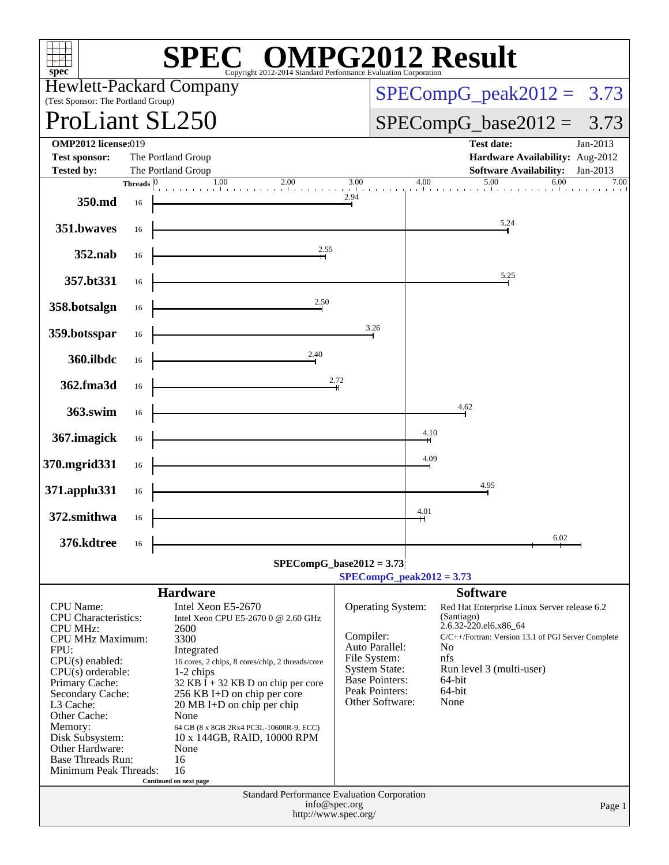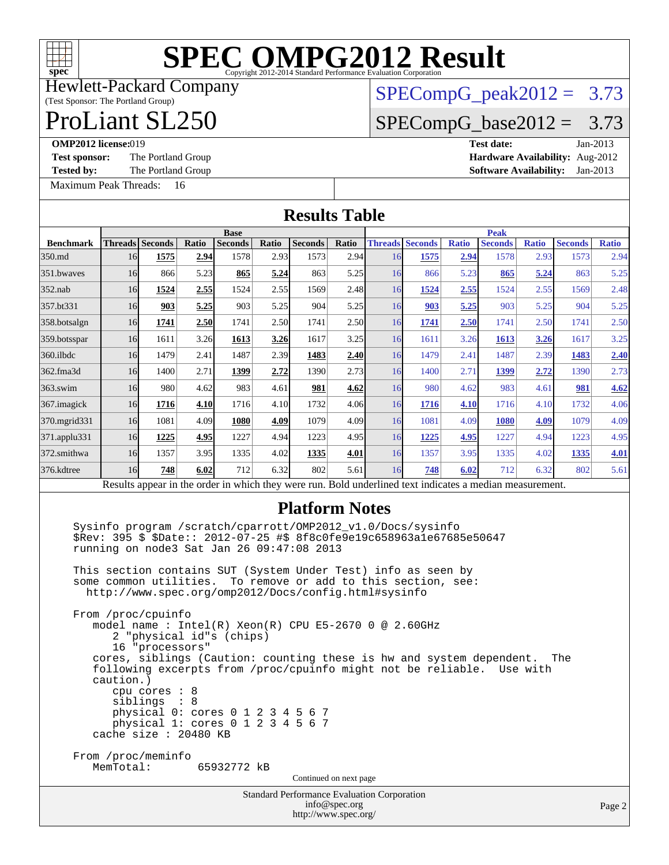

Hewlett-Packard Company

#### (Test Sponsor: The Portland Group) ProLiant SL250

## $SPECompG_peak2012 = 3.73$  $SPECompG_peak2012 = 3.73$

## $SPECompG_base2012 = 3.73$  $SPECompG_base2012 = 3.73$

[Maximum Peak Threads:](http://www.spec.org/auto/omp2012/Docs/result-fields.html#MaximumPeakThreads) 16

**[OMP2012 license:](http://www.spec.org/auto/omp2012/Docs/result-fields.html#OMP2012license)**019 **[Test date:](http://www.spec.org/auto/omp2012/Docs/result-fields.html#Testdate)** Jan-2013 **[Test sponsor:](http://www.spec.org/auto/omp2012/Docs/result-fields.html#Testsponsor)** The Portland Group **[Hardware Availability:](http://www.spec.org/auto/omp2012/Docs/result-fields.html#HardwareAvailability)** Aug-2012 **[Tested by:](http://www.spec.org/auto/omp2012/Docs/result-fields.html#Testedby)** The Portland Group **[Software Availability:](http://www.spec.org/auto/omp2012/Docs/result-fields.html#SoftwareAvailability)** Jan-2013

|                  | <b>Results Table</b>                                     |                                                      |       |                                                                                                                                                                                                                                                                                                                                                                                                                                                                                                                                                                                                                                                                                     |       |                                             |               |           |                        |              |                |              |                |              |
|------------------|----------------------------------------------------------|------------------------------------------------------|-------|-------------------------------------------------------------------------------------------------------------------------------------------------------------------------------------------------------------------------------------------------------------------------------------------------------------------------------------------------------------------------------------------------------------------------------------------------------------------------------------------------------------------------------------------------------------------------------------------------------------------------------------------------------------------------------------|-------|---------------------------------------------|---------------|-----------|------------------------|--------------|----------------|--------------|----------------|--------------|
|                  |                                                          |                                                      |       | <b>Base</b>                                                                                                                                                                                                                                                                                                                                                                                                                                                                                                                                                                                                                                                                         |       |                                             |               |           |                        |              | <b>Peak</b>    |              |                |              |
| <b>Benchmark</b> |                                                          | Threads Seconds                                      | Ratio | <b>Seconds</b>                                                                                                                                                                                                                                                                                                                                                                                                                                                                                                                                                                                                                                                                      | Ratio | Seconds                                     | Ratio         |           | <b>Threads Seconds</b> | <b>Ratio</b> | <b>Seconds</b> | <b>Ratio</b> | <b>Seconds</b> | <b>Ratio</b> |
| 350.md           | 16                                                       | 1575                                                 | 2.94  | 1578                                                                                                                                                                                                                                                                                                                                                                                                                                                                                                                                                                                                                                                                                | 2.93  | 1573                                        | 2.94          | 16        | 1575                   | 2.94         | 1578           | 2.93         | 1573           | 2.94         |
| 351.bwayes       | 16                                                       | 866                                                  | 5.23  | 865                                                                                                                                                                                                                                                                                                                                                                                                                                                                                                                                                                                                                                                                                 | 5.24  | 863                                         | 5.25          | 16        | 866                    | 5.23         | 865            | 5.24         | 863            | 5.25         |
| $352$ .nab       | 16                                                       | 1524                                                 | 2.55  | 1524                                                                                                                                                                                                                                                                                                                                                                                                                                                                                                                                                                                                                                                                                | 2.55  | 1569                                        | 2.48          | 16        | 1524                   | 2.55         | 1524           | 2.55         | 1569           | 2.48         |
| 357.bt331        | 16                                                       | 903                                                  | 5.25  | 903                                                                                                                                                                                                                                                                                                                                                                                                                                                                                                                                                                                                                                                                                 | 5.25  | 904                                         | 5.25          | 16        | 903                    | 5.25         | 903            | 5.25         | 904            | 5.25         |
| 358.botsalgn     | 16                                                       | 1741                                                 | 2.50  | 1741                                                                                                                                                                                                                                                                                                                                                                                                                                                                                                                                                                                                                                                                                | 2.50  | 1741                                        | 2.50          | 16        | 1741                   | 2.50         | 1741           | 2.50         | 1741           | 2.50         |
| 359.botsspar     | 16                                                       | 1611                                                 | 3.26  | 1613                                                                                                                                                                                                                                                                                                                                                                                                                                                                                                                                                                                                                                                                                | 3.26  | 1617                                        | 3.25          | 16        | 1611                   | 3.26         | <b>1613</b>    | 3.26         | 1617           | 3.25         |
| 360.ilbdc        | 16                                                       | 1479                                                 | 2.41  | 1487                                                                                                                                                                                                                                                                                                                                                                                                                                                                                                                                                                                                                                                                                | 2.39  | 1483                                        | 2.40          | 16        | 1479                   | 2.41         | 1487           | 2.39         | 1483           | 2.40         |
| 362.fma3d        | 16                                                       | 1400                                                 | 2.71  | 1399                                                                                                                                                                                                                                                                                                                                                                                                                                                                                                                                                                                                                                                                                | 2.72  | 1390                                        | 2.73          | <b>16</b> | 1400                   | 2.71         | 1399           | 2.72         | 1390           | 2.73         |
| $363$ .swim      | 16                                                       | 980                                                  | 4.62  | 983                                                                                                                                                                                                                                                                                                                                                                                                                                                                                                                                                                                                                                                                                 | 4.61  | 981                                         | 4.62          | 16        | 980                    | 4.62         | 983            | 4.61         | 981            | 4.62         |
| 367. imagick     | 16                                                       | 1716                                                 | 4.10  | 1716                                                                                                                                                                                                                                                                                                                                                                                                                                                                                                                                                                                                                                                                                | 4.10  | 1732                                        | 4.06          | 16        | <b>1716</b>            | 4.10         | 1716           | 4.10         | 1732           | 4.06         |
| 370.mgrid331     | 16                                                       | 1081                                                 | 4.09  | 1080                                                                                                                                                                                                                                                                                                                                                                                                                                                                                                                                                                                                                                                                                | 4.09  | 1079                                        | 4.09          | 16        | 1081                   | 4.09         | 1080           | 4.09         | 1079           | 4.09         |
| 371.applu331     | 16                                                       | 1225                                                 | 4.95  | 1227                                                                                                                                                                                                                                                                                                                                                                                                                                                                                                                                                                                                                                                                                | 4.94  | 1223                                        | 4.95          | <b>16</b> | 1225                   | 4.95         | 1227           | 4.94         | 1223           | 4.95         |
| 372.smithwa      | 16                                                       | 1357                                                 | 3.95  | 1335                                                                                                                                                                                                                                                                                                                                                                                                                                                                                                                                                                                                                                                                                | 4.02  | 1335                                        | 4.01          | 16        | 1357                   | 3.95         | 1335           | 4.02         | 1335           | 4.01         |
| 376.kdtree       | 16                                                       | 748                                                  | 6.02  | 712                                                                                                                                                                                                                                                                                                                                                                                                                                                                                                                                                                                                                                                                                 | 6.32  | 802                                         | 5.61          | 16        | 748                    | 6.02         | 712            | 6.32         | 802            | 5.61         |
|                  |                                                          |                                                      |       | Results appear in the order in which they were run. Bold underlined text indicates a median measurement.                                                                                                                                                                                                                                                                                                                                                                                                                                                                                                                                                                            |       |                                             |               |           |                        |              |                |              |                |              |
|                  | From /proc/cpuinfo<br>caution.)<br>cache size : 20480 KB | 16 "processors"<br>$cpu$ cores : $8$<br>siblings : 8 |       | Sysinfo program /scratch/cparrott/OMP2012_v1.0/Docs/sysinfo<br>\$Rev: 395 \$ \$Date:: 2012-07-25 #\$ 8f8c0fe9e19c658963a1e67685e50647<br>running on node3 Sat Jan 26 09:47:08 2013<br>This section contains SUT (System Under Test) info as seen by<br>some common utilities. To remove or add to this section, see:<br>http://www.spec.org/omp2012/Docs/config.html#sysinfo<br>model name : Intel(R) Xeon(R) CPU E5-2670 0 @ 2.60GHz<br>2 "physical id"s (chips)<br>cores, siblings (Caution: counting these is hw and system dependent.<br>following excerpts from /proc/cpuinfo might not be reliable.<br>physical 0: cores 0 1 2 3 4 5 6 7<br>physical 1: cores 0 1 2 3 4 5 6 7 |       |                                             |               |           |                        |              |                | Use with     | The            |              |
|                  | From /proc/meminfo<br>MemTotal:                          |                                                      |       | 65932772 kB                                                                                                                                                                                                                                                                                                                                                                                                                                                                                                                                                                                                                                                                         |       | Continued on next page                      |               |           |                        |              |                |              |                |              |
|                  |                                                          |                                                      |       |                                                                                                                                                                                                                                                                                                                                                                                                                                                                                                                                                                                                                                                                                     |       | Standard Performance Evaluation Corporation |               |           |                        |              |                |              |                |              |
|                  |                                                          |                                                      |       |                                                                                                                                                                                                                                                                                                                                                                                                                                                                                                                                                                                                                                                                                     |       |                                             | info@spec.org |           |                        |              |                |              |                | Page 2       |

<http://www.spec.org/>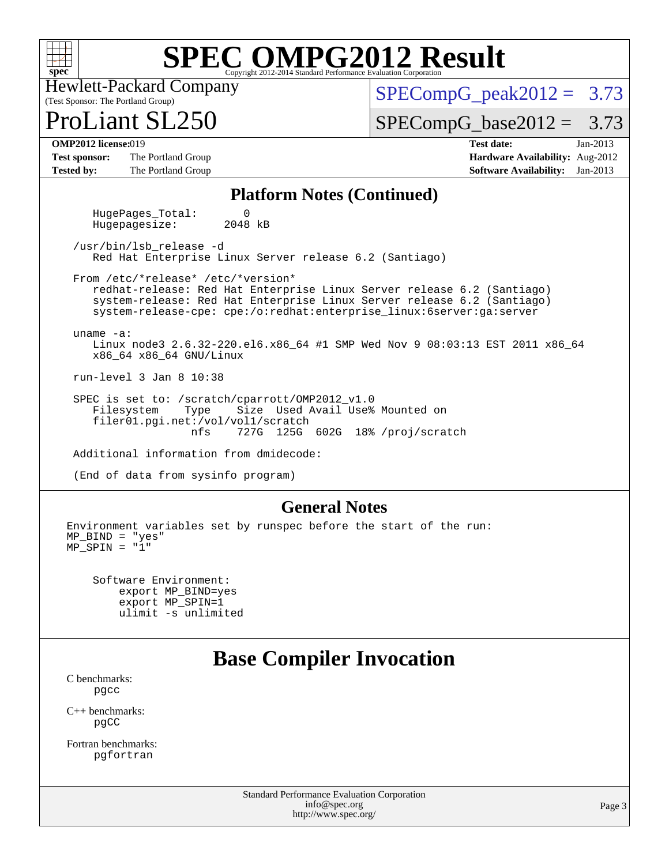

(Test Sponsor: The Portland Group) Hewlett-Packard Company

 $SPECompG_peak2012 = 3.73$  $SPECompG_peak2012 = 3.73$ 

 $Liant$  SL250

 $SPECompG_base2012 = 3.73$  $SPECompG_base2012 = 3.73$ 

**[Test sponsor:](http://www.spec.org/auto/omp2012/Docs/result-fields.html#Testsponsor)** The Portland Group **[Hardware Availability:](http://www.spec.org/auto/omp2012/Docs/result-fields.html#HardwareAvailability)** Aug-2012 **[Tested by:](http://www.spec.org/auto/omp2012/Docs/result-fields.html#Testedby)** The Portland Group **[Software Availability:](http://www.spec.org/auto/omp2012/Docs/result-fields.html#SoftwareAvailability)** Jan-2013

**[OMP2012 license:](http://www.spec.org/auto/omp2012/Docs/result-fields.html#OMP2012license)**019 **[Test date:](http://www.spec.org/auto/omp2012/Docs/result-fields.html#Testdate)** Jan-2013

### **[Platform Notes \(Continued\)](http://www.spec.org/auto/omp2012/Docs/result-fields.html#PlatformNotes)**

HugePages\_Total: 0<br>Hugepagesize: 2048 kB Hugepagesize:

 /usr/bin/lsb\_release -d Red Hat Enterprise Linux Server release 6.2 (Santiago)

 From /etc/\*release\* /etc/\*version\* redhat-release: Red Hat Enterprise Linux Server release 6.2 (Santiago) system-release: Red Hat Enterprise Linux Server release 6.2 (Santiago) system-release-cpe: cpe:/o:redhat:enterprise\_linux:6server:ga:server

 uname -a: Linux node3 2.6.32-220.el6.x86\_64 #1 SMP Wed Nov 9 08:03:13 EST 2011 x86\_64 x86\_64 x86\_64 GNU/Linux

run-level 3 Jan 8 10:38

 SPEC is set to: /scratch/cparrott/OMP2012\_v1.0 Filesystem Type Size Used Avail Use% Mounted on filer01.pgi.net:/vol/vol1/scratch nfs 727G 125G 602G 18% /proj/scratch

Additional information from dmidecode:

(End of data from sysinfo program)

#### **[General Notes](http://www.spec.org/auto/omp2012/Docs/result-fields.html#GeneralNotes)**

Environment variables set by runspec before the start of the run: MP\_BIND = "yes"  $MP$  SPIN =  $"1"$ 

 Software Environment: export MP\_BIND=yes export MP\_SPIN=1 ulimit -s unlimited

### **[Base Compiler Invocation](http://www.spec.org/auto/omp2012/Docs/result-fields.html#BaseCompilerInvocation)**

[C benchmarks](http://www.spec.org/auto/omp2012/Docs/result-fields.html#Cbenchmarks): [pgcc](http://www.spec.org/omp2012/results/res2013q1/omp2012-20130205-00020.flags.html#user_CCbase_pgcc_l)

[C++ benchmarks:](http://www.spec.org/auto/omp2012/Docs/result-fields.html#CXXbenchmarks) [pgCC](http://www.spec.org/omp2012/results/res2013q1/omp2012-20130205-00020.flags.html#user_CXXbase_pgcpp_l_ab9852b71f93c2d78825bb6ac07dfa02)

[Fortran benchmarks](http://www.spec.org/auto/omp2012/Docs/result-fields.html#Fortranbenchmarks): [pgfortran](http://www.spec.org/omp2012/results/res2013q1/omp2012-20130205-00020.flags.html#user_FCbase_pgfortran_l)

> Standard Performance Evaluation Corporation [info@spec.org](mailto:info@spec.org) <http://www.spec.org/>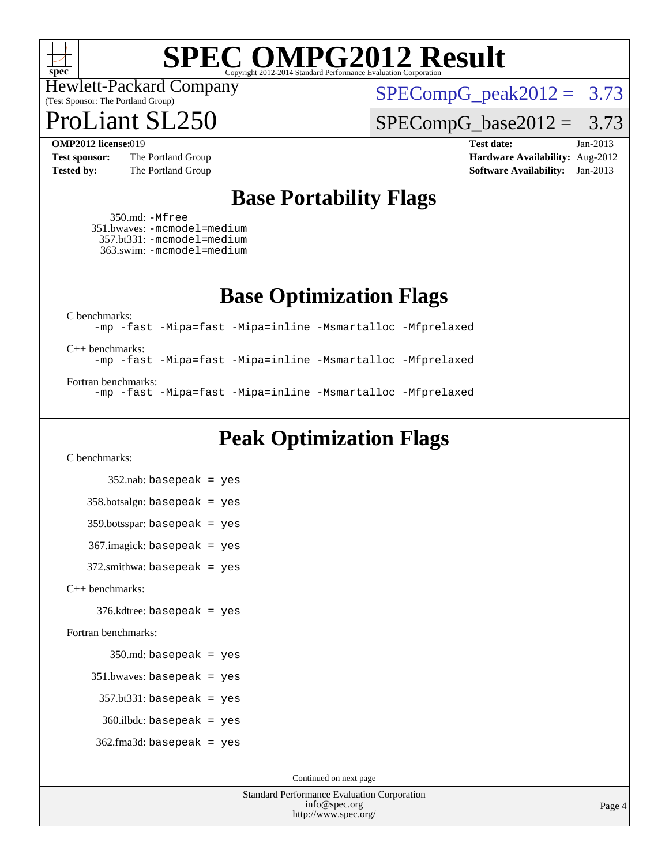

(Test Sponsor: The Portland Group) Hewlett-Packard Company

 $SPECompG_peak2012 = 3.73$  $SPECompG_peak2012 = 3.73$ 

Liant SL250

 $SPECompG_base2012 = 3.73$  $SPECompG_base2012 = 3.73$ 

**[Test sponsor:](http://www.spec.org/auto/omp2012/Docs/result-fields.html#Testsponsor)** The Portland Group **[Hardware Availability:](http://www.spec.org/auto/omp2012/Docs/result-fields.html#HardwareAvailability)** Aug-2012

**[OMP2012 license:](http://www.spec.org/auto/omp2012/Docs/result-fields.html#OMP2012license)**019 **[Test date:](http://www.spec.org/auto/omp2012/Docs/result-fields.html#Testdate)** Jan-2013 **[Tested by:](http://www.spec.org/auto/omp2012/Docs/result-fields.html#Testedby)** The Portland Group **[Software Availability:](http://www.spec.org/auto/omp2012/Docs/result-fields.html#SoftwareAvailability)** Jan-2013

## **[Base Portability Flags](http://www.spec.org/auto/omp2012/Docs/result-fields.html#BasePortabilityFlags)**

 350.md: [-Mfree](http://www.spec.org/omp2012/results/res2013q1/omp2012-20130205-00020.flags.html#user_baseFPORTABILITY350_md_Mfree) 351.bwaves: [-mcmodel=medium](http://www.spec.org/omp2012/results/res2013q1/omp2012-20130205-00020.flags.html#user_basePORTABILITY351_bwaves_mcmodel_medium) 357.bt331: [-mcmodel=medium](http://www.spec.org/omp2012/results/res2013q1/omp2012-20130205-00020.flags.html#user_basePORTABILITY357_bt331_mcmodel_medium) 363.swim: [-mcmodel=medium](http://www.spec.org/omp2012/results/res2013q1/omp2012-20130205-00020.flags.html#user_basePORTABILITY363_swim_mcmodel_medium)

**[Base Optimization Flags](http://www.spec.org/auto/omp2012/Docs/result-fields.html#BaseOptimizationFlags)**

[C benchmarks](http://www.spec.org/auto/omp2012/Docs/result-fields.html#Cbenchmarks):

[-mp](http://www.spec.org/omp2012/results/res2013q1/omp2012-20130205-00020.flags.html#user_CCbase_mp) [-fast](http://www.spec.org/omp2012/results/res2013q1/omp2012-20130205-00020.flags.html#user_CCbase_fast) [-Mipa=fast](http://www.spec.org/omp2012/results/res2013q1/omp2012-20130205-00020.flags.html#user_CCbase_Mipa_fast) [-Mipa=inline](http://www.spec.org/omp2012/results/res2013q1/omp2012-20130205-00020.flags.html#user_CCbase_Mipa_inline) [-Msmartalloc](http://www.spec.org/omp2012/results/res2013q1/omp2012-20130205-00020.flags.html#user_CCbase_Msmartalloc_lin) [-Mfprelaxed](http://www.spec.org/omp2012/results/res2013q1/omp2012-20130205-00020.flags.html#user_CCbase_Mfprelaxed)

[C++ benchmarks:](http://www.spec.org/auto/omp2012/Docs/result-fields.html#CXXbenchmarks)

[-mp](http://www.spec.org/omp2012/results/res2013q1/omp2012-20130205-00020.flags.html#user_CXXbase_mp) [-fast](http://www.spec.org/omp2012/results/res2013q1/omp2012-20130205-00020.flags.html#user_CXXbase_fast) [-Mipa=fast](http://www.spec.org/omp2012/results/res2013q1/omp2012-20130205-00020.flags.html#user_CXXbase_Mipa_fast) [-Mipa=inline](http://www.spec.org/omp2012/results/res2013q1/omp2012-20130205-00020.flags.html#user_CXXbase_Mipa_inline) [-Msmartalloc](http://www.spec.org/omp2012/results/res2013q1/omp2012-20130205-00020.flags.html#user_CXXbase_Msmartalloc_lin) [-Mfprelaxed](http://www.spec.org/omp2012/results/res2013q1/omp2012-20130205-00020.flags.html#user_CXXbase_Mfprelaxed)

[Fortran benchmarks](http://www.spec.org/auto/omp2012/Docs/result-fields.html#Fortranbenchmarks):

[-mp](http://www.spec.org/omp2012/results/res2013q1/omp2012-20130205-00020.flags.html#user_FCbase_mp) [-fast](http://www.spec.org/omp2012/results/res2013q1/omp2012-20130205-00020.flags.html#user_FCbase_fast) [-Mipa=fast](http://www.spec.org/omp2012/results/res2013q1/omp2012-20130205-00020.flags.html#user_FCbase_Mipa_fast) [-Mipa=inline](http://www.spec.org/omp2012/results/res2013q1/omp2012-20130205-00020.flags.html#user_FCbase_Mipa_inline) [-Msmartalloc](http://www.spec.org/omp2012/results/res2013q1/omp2012-20130205-00020.flags.html#user_FCbase_Msmartalloc_lin) [-Mfprelaxed](http://www.spec.org/omp2012/results/res2013q1/omp2012-20130205-00020.flags.html#user_FCbase_Mfprelaxed)

## **[Peak Optimization Flags](http://www.spec.org/auto/omp2012/Docs/result-fields.html#PeakOptimizationFlags)**

#### [C benchmarks](http://www.spec.org/auto/omp2012/Docs/result-fields.html#Cbenchmarks):

 $352$ .nab: basepeak = yes 358.botsalgn: basepeak = yes 359.botsspar: basepeak = yes 367.imagick: basepeak = yes 372.smithwa: basepeak = yes [C++ benchmarks:](http://www.spec.org/auto/omp2012/Docs/result-fields.html#CXXbenchmarks) 376.kdtree: basepeak = yes [Fortran benchmarks](http://www.spec.org/auto/omp2012/Docs/result-fields.html#Fortranbenchmarks): 350.md: basepeak = yes 351.bwaves: basepeak = yes  $357.$ bt $331$ : basepeak = yes 360.ilbdc: basepeak = yes  $362$ .fma $3d$ : basepeak = yes

Continued on next page

Standard Performance Evaluation Corporation [info@spec.org](mailto:info@spec.org) <http://www.spec.org/>